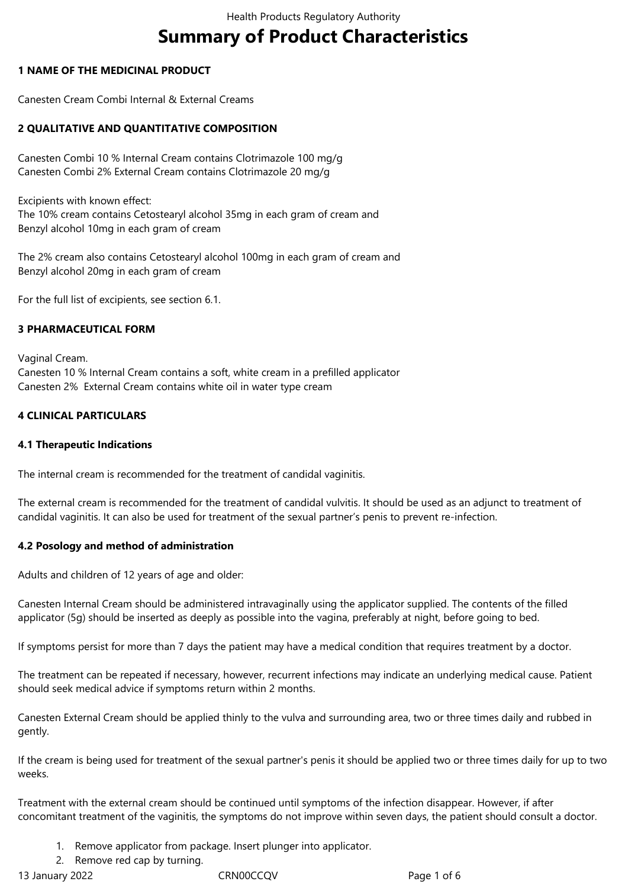# **Summary of Product Characteristics**

# **1 NAME OF THE MEDICINAL PRODUCT**

Canesten Cream Combi Internal & External Creams

# **2 QUALITATIVE AND QUANTITATIVE COMPOSITION**

Canesten Combi 10 % Internal Cream contains Clotrimazole 100 mg/g Canesten Combi 2% External Cream contains Clotrimazole 20 mg/g

Excipients with known effect:

The 10% cream contains Cetostearyl alcohol 35mg in each gram of cream and Benzyl alcohol 10mg in each gram of cream

The 2% cream also contains Cetostearyl alcohol 100mg in each gram of cream and Benzyl alcohol 20mg in each gram of cream

For the full list of excipients, see section 6.1.

# **3 PHARMACEUTICAL FORM**

Vaginal Cream. Canesten 10 % Internal Cream contains a soft, white cream in a prefilled applicator Canesten 2% External Cream contains white oil in water type cream

# **4 CLINICAL PARTICULARS**

## **4.1 Therapeutic Indications**

The internal cream is recommended for the treatment of candidal vaginitis.

The external cream is recommended for the treatment of candidal vulvitis. It should be used as an adjunct to treatment of candidal vaginitis. It can also be used for treatment of the sexual partner's penis to prevent re-infection.

## **4.2 Posology and method of administration**

Adults and children of 12 years of age and older:

Canesten Internal Cream should be administered intravaginally using the applicator supplied. The contents of the filled applicator (5g) should be inserted as deeply as possible into the vagina, preferably at night, before going to bed.

If symptoms persist for more than 7 days the patient may have a medical condition that requires treatment by a doctor.

The treatment can be repeated if necessary, however, recurrent infections may indicate an underlying medical cause. Patient should seek medical advice if symptoms return within 2 months.

Canesten External Cream should be applied thinly to the vulva and surrounding area, two or three times daily and rubbed in gently.

If the cream is being used for treatment of the sexual partner's penis it should be applied two or three times daily for up to two weeks.

Treatment with the external cream should be continued until symptoms of the infection disappear. However, if after concomitant treatment of the vaginitis, the symptoms do not improve within seven days, the patient should consult a doctor.

- 1. Remove applicator from package. Insert plunger into applicator.
- 2. Remove red cap by turning.

13 January 2022 CRN00CCQV Page 1 of 6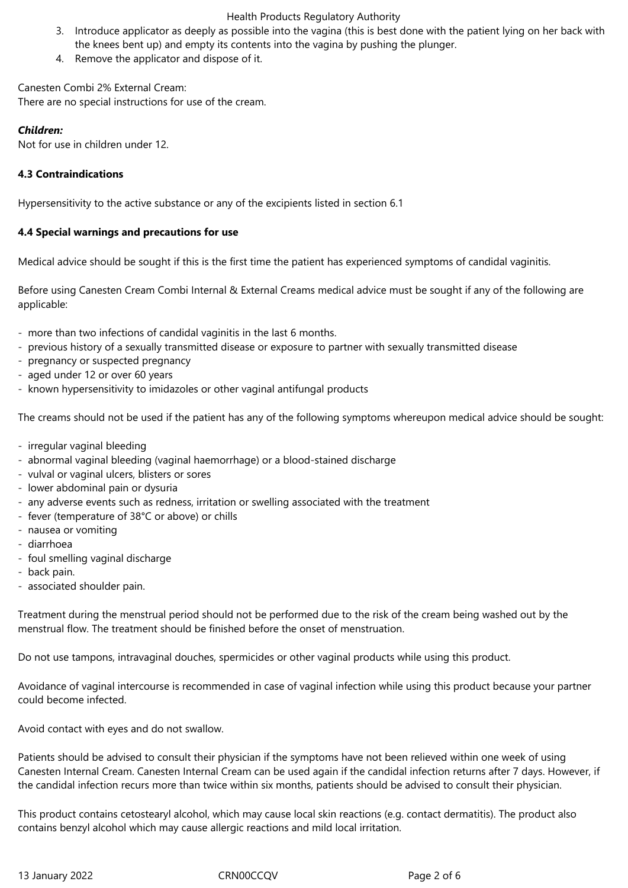## Health Products Regulatory Authority

- 3. Introduce applicator as deeply as possible into the vagina (this is best done with the patient lying on her back with the knees bent up) and empty its contents into the vagina by pushing the plunger.
- 4. Remove the applicator and dispose of it.

Canesten Combi 2% External Cream: There are no special instructions for use of the cream.

# *Children:*

Not for use in children under 12.

# **4.3 Contraindications**

Hypersensitivity to the active substance or any of the excipients listed in section 6.1

# **4.4 Special warnings and precautions for use**

Medical advice should be sought if this is the first time the patient has experienced symptoms of candidal vaginitis.

Before using Canesten Cream Combi Internal & External Creams medical advice must be sought if any of the following are applicable:

- more than two infections of candidal vaginitis in the last 6 months.
- previous history of a sexually transmitted disease or exposure to partner with sexually transmitted disease
- pregnancy or suspected pregnancy
- aged under 12 or over 60 years
- known hypersensitivity to imidazoles or other vaginal antifungal products

The creams should not be used if the patient has any of the following symptoms whereupon medical advice should be sought:

- irregular vaginal bleeding
- abnormal vaginal bleeding (vaginal haemorrhage) or a blood-stained discharge
- vulval or vaginal ulcers, blisters or sores
- lower abdominal pain or dysuria
- any adverse events such as redness, irritation or swelling associated with the treatment
- fever (temperature of 38°C or above) or chills
- nausea or vomiting
- diarrhoea
- foul smelling vaginal discharge
- back pain.
- associated shoulder pain.

Treatment during the menstrual period should not be performed due to the risk of the cream being washed out by the menstrual flow. The treatment should be finished before the onset of menstruation.

Do not use tampons, intravaginal douches, spermicides or other vaginal products while using this product.

Avoidance of vaginal intercourse is recommended in case of vaginal infection while using this product because your partner could become infected.

Avoid contact with eyes and do not swallow.

Patients should be advised to consult their physician if the symptoms have not been relieved within one week of using Canesten Internal Cream. Canesten Internal Cream can be used again if the candidal infection returns after 7 days. However, if the candidal infection recurs more than twice within six months, patients should be advised to consult their physician.

This product contains cetostearyl alcohol, which may cause local skin reactions (e.g. contact dermatitis). The product also contains benzyl alcohol which may cause allergic reactions and mild local irritation.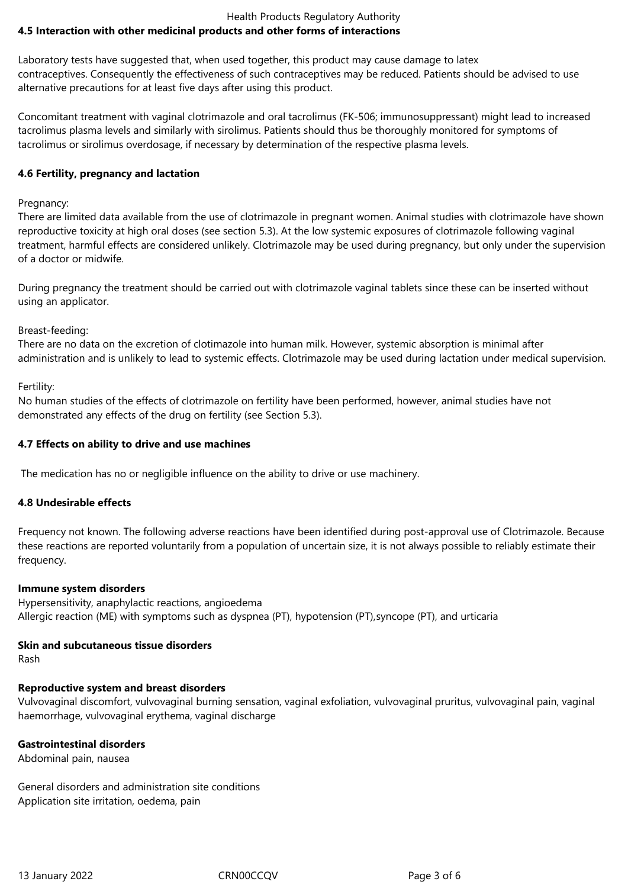## Health Products Regulatory Authority **4.5 Interaction with other medicinal products and other forms of interactions**

Laboratory tests have suggested that, when used together, this product may cause damage to latex contraceptives. Consequently the effectiveness of such contraceptives may be reduced. Patients should be advised to use alternative precautions for at least five days after using this product.

Concomitant treatment with vaginal clotrimazole and oral tacrolimus (FK-506; immunosuppressant) might lead to increased tacrolimus plasma levels and similarly with sirolimus. Patients should thus be thoroughly monitored for symptoms of tacrolimus or sirolimus overdosage, if necessary by determination of the respective plasma levels.

# **4.6 Fertility, pregnancy and lactation**

# Pregnancy:

There are limited data available from the use of clotrimazole in pregnant women. Animal studies with clotrimazole have shown reproductive toxicity at high oral doses (see section 5.3). At the low systemic exposures of clotrimazole following vaginal treatment, harmful effects are considered unlikely. Clotrimazole may be used during pregnancy, but only under the supervision of a doctor or midwife.

During pregnancy the treatment should be carried out with clotrimazole vaginal tablets since these can be inserted without using an applicator.

# Breast-feeding:

There are no data on the excretion of clotimazole into human milk. However, systemic absorption is minimal after administration and is unlikely to lead to systemic effects. Clotrimazole may be used during lactation under medical supervision.

Fertility:

No human studies of the effects of clotrimazole on fertility have been performed, however, animal studies have not demonstrated any effects of the drug on fertility (see Section 5.3).

# **4.7 Effects on ability to drive and use machines**

The medication has no or negligible influence on the ability to drive or use machinery.

## **4.8 Undesirable effects**

Frequency not known. The following adverse reactions have been identified during post-approval use of Clotrimazole. Because these reactions are reported voluntarily from a population of uncertain size, it is not always possible to reliably estimate their frequency.

## **Immune system disorders**

Hypersensitivity, anaphylactic reactions, angioedema Allergic reaction (ME) with symptoms such as dyspnea (PT), hypotension (PT), syncope (PT), and urticaria

# **Skin and subcutaneous tissue disorders**

Rash

# **Reproductive system and breast disorders**

Vulvovaginal discomfort, vulvovaginal burning sensation, vaginal exfoliation, vulvovaginal pruritus, vulvovaginal pain, vaginal haemorrhage, vulvovaginal erythema, vaginal discharge

# **Gastrointestinal disorders**

Abdominal pain, nausea

General disorders and administration site conditions Application site irritation, oedema, pain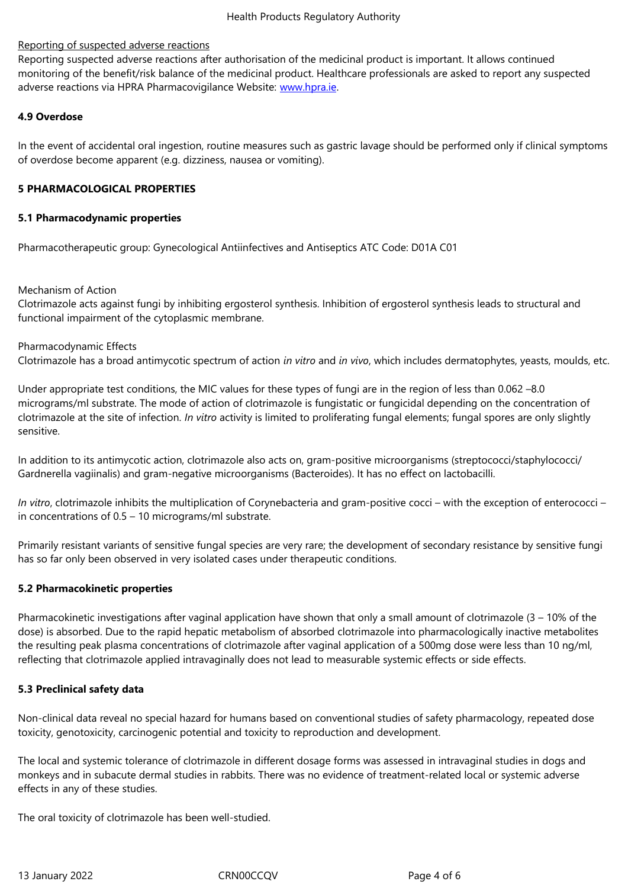Reporting suspected adverse reactions after authorisation of the medicinal product is important. It allows continued monitoring of the benefit/risk balance of the medicinal product. Healthcare professionals are asked to report any suspected adverse reactions via HPRA Pharmacovigilance Website: www.hpra.ie.

# **4.9 Overdose**

In the event of accidental oral ingestion, routine measur[es such as ga](http://www.hpra.ie/)stric lavage should be performed only if clinical symptoms of overdose become apparent (e.g. dizziness, nausea or vomiting).

## **5 PHARMACOLOGICAL PROPERTIES**

## **5.1 Pharmacodynamic properties**

Pharmacotherapeutic group: Gynecological Antiinfectives and Antiseptics ATC Code: D01A C01

## Mechanism of Action

Clotrimazole acts against fungi by inhibiting ergosterol synthesis. Inhibition of ergosterol synthesis leads to structural and functional impairment of the cytoplasmic membrane.

## Pharmacodynamic Effects

Clotrimazole has a broad antimycotic spectrum of action *in vitro* and *in vivo*, which includes dermatophytes, yeasts, moulds, etc.

Under appropriate test conditions, the MIC values for these types of fungi are in the region of less than 0.062 –8.0 micrograms/ml substrate. The mode of action of clotrimazole is fungistatic or fungicidal depending on the concentration of clotrimazole at the site of infection. *In vitro* activity is limited to proliferating fungal elements; fungal spores are only slightly sensitive.

In addition to its antimycotic action, clotrimazole also acts on, gram-positive microorganisms (streptococci/staphylococci/ Gardnerella vagiinalis) and gram-negative microorganisms (Bacteroides). It has no effect on lactobacilli.

*In vitro*, clotrimazole inhibits the multiplication of Corynebacteria and gram-positive cocci – with the exception of enterococci – in concentrations of 0.5 – 10 micrograms/ml substrate.

Primarily resistant variants of sensitive fungal species are very rare; the development of secondary resistance by sensitive fungi has so far only been observed in very isolated cases under therapeutic conditions.

## **5.2 Pharmacokinetic properties**

Pharmacokinetic investigations after vaginal application have shown that only a small amount of clotrimazole (3 – 10% of the dose) is absorbed. Due to the rapid hepatic metabolism of absorbed clotrimazole into pharmacologically inactive metabolites the resulting peak plasma concentrations of clotrimazole after vaginal application of a 500mg dose were less than 10 ng/ml, reflecting that clotrimazole applied intravaginally does not lead to measurable systemic effects or side effects.

## **5.3 Preclinical safety data**

Non-clinical data reveal no special hazard for humans based on conventional studies of safety pharmacology, repeated dose toxicity, genotoxicity, carcinogenic potential and toxicity to reproduction and development.

The local and systemic tolerance of clotrimazole in different dosage forms was assessed in intravaginal studies in dogs and monkeys and in subacute dermal studies in rabbits. There was no evidence of treatment-related local or systemic adverse effects in any of these studies.

The oral toxicity of clotrimazole has been well-studied.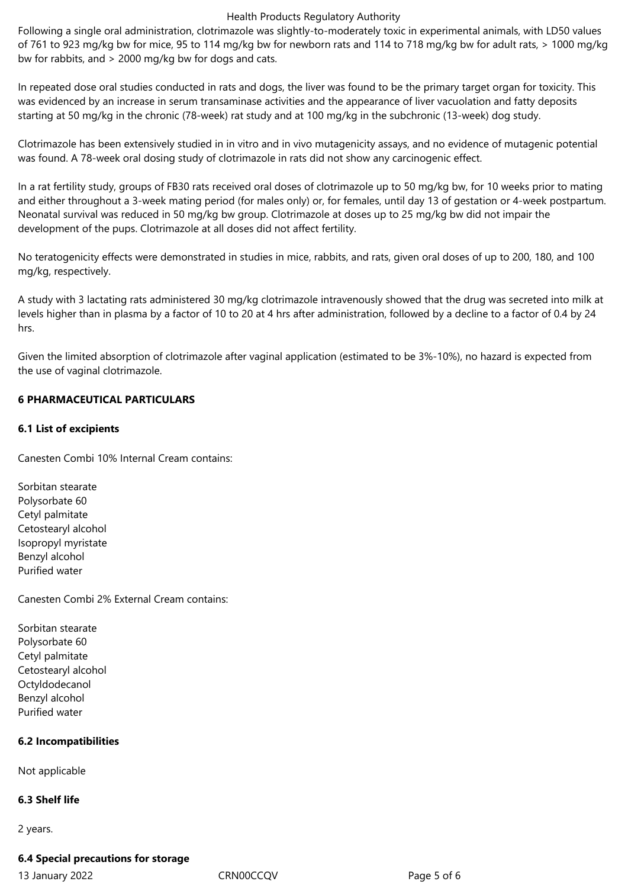#### Health Products Regulatory Authority

Following a single oral administration, clotrimazole was slightly-to-moderately toxic in experimental animals, with LD50 values of 761 to 923 mg/kg bw for mice, 95 to 114 mg/kg bw for newborn rats and 114 to 718 mg/kg bw for adult rats, > 1000 mg/kg bw for rabbits, and > 2000 mg/kg bw for dogs and cats.

In repeated dose oral studies conducted in rats and dogs, the liver was found to be the primary target organ for toxicity. This was evidenced by an increase in serum transaminase activities and the appearance of liver vacuolation and fatty deposits starting at 50 mg/kg in the chronic (78-week) rat study and at 100 mg/kg in the subchronic (13-week) dog study.

Clotrimazole has been extensively studied in in vitro and in vivo mutagenicity assays, and no evidence of mutagenic potential was found. A 78-week oral dosing study of clotrimazole in rats did not show any carcinogenic effect.

In a rat fertility study, groups of FB30 rats received oral doses of clotrimazole up to 50 mg/kg bw, for 10 weeks prior to mating and either throughout a 3-week mating period (for males only) or, for females, until day 13 of gestation or 4-week postpartum. Neonatal survival was reduced in 50 mg/kg bw group. Clotrimazole at doses up to 25 mg/kg bw did not impair the development of the pups. Clotrimazole at all doses did not affect fertility.

No teratogenicity effects were demonstrated in studies in mice, rabbits, and rats, given oral doses of up to 200, 180, and 100 mg/kg, respectively.

A study with 3 lactating rats administered 30 mg/kg clotrimazole intravenously showed that the drug was secreted into milk at levels higher than in plasma by a factor of 10 to 20 at 4 hrs after administration, followed by a decline to a factor of 0.4 by 24 hrs.

Given the limited absorption of clotrimazole after vaginal application (estimated to be 3%-10%), no hazard is expected from the use of vaginal clotrimazole.

# **6 PHARMACEUTICAL PARTICULARS**

# **6.1 List of excipients**

Canesten Combi 10% Internal Cream contains:

Sorbitan stearate Polysorbate 60 Cetyl palmitate Cetostearyl alcohol Isopropyl myristate Benzyl alcohol Purified water

Canesten Combi 2% External Cream contains:

Sorbitan stearate Polysorbate 60 Cetyl palmitate Cetostearyl alcohol Octyldodecanol Benzyl alcohol Purified water

# **6.2 Incompatibilities**

Not applicable

## **6.3 Shelf life**

2 years.

## **6.4 Special precautions for storage**

13 January 2022 CRN00CCQV Page 5 of 6